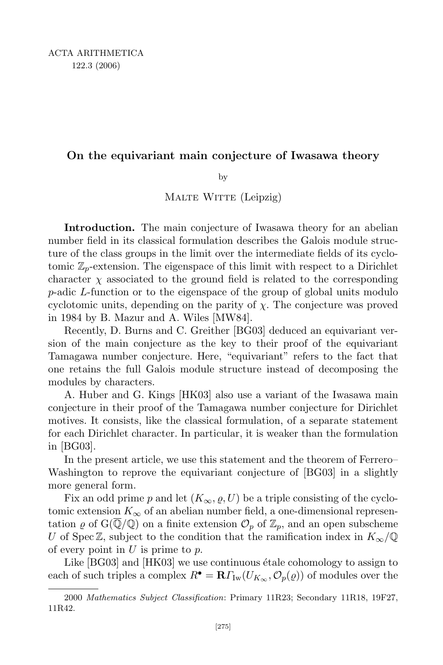## On the equivariant main conjecture of Iwasawa theory

by

MALTE WITTE (Leipzig)

Introduction. The main conjecture of Iwasawa theory for an abelian number field in its classical formulation describes the Galois module structure of the class groups in the limit over the intermediate fields of its cyclotomic  $\mathbb{Z}_p$ -extension. The eigenspace of this limit with respect to a Dirichlet character  $\chi$  associated to the ground field is related to the corresponding p-adic L-function or to the eigenspace of the group of global units modulo cyclotomic units, depending on the parity of  $\chi$ . The conjecture was proved in 1984 by B. Mazur and A. Wiles [MW84].

Recently, D. Burns and C. Greither [BG03] deduced an equivariant version of the main conjecture as the key to their proof of the equivariant Tamagawa number conjecture. Here, "equivariant" refers to the fact that one retains the full Galois module structure instead of decomposing the modules by characters.

A. Huber and G. Kings [HK03] also use a variant of the Iwasawa main conjecture in their proof of the Tamagawa number conjecture for Dirichlet motives. It consists, like the classical formulation, of a separate statement for each Dirichlet character. In particular, it is weaker than the formulation in [BG03].

In the present article, we use this statement and the theorem of Ferrero– Washington to reprove the equivariant conjecture of [BG03] in a slightly more general form.

Fix an odd prime p and let  $(K_{\infty}, \varrho, U)$  be a triple consisting of the cyclotomic extension  $K_{\infty}$  of an abelian number field, a one-dimensional representation  $\varrho$  of  $G(\overline{\mathbb{Q}}/\mathbb{Q})$  on a finite extension  $\mathcal{O}_p$  of  $\mathbb{Z}_p$ , and an open subscheme U of Spec  $\mathbb{Z}$ , subject to the condition that the ramification index in  $K_{\infty}/\mathbb{Q}$ of every point in  $U$  is prime to  $p$ .

Like  $[BG03]$  and  $[HK03]$  we use continuous étale cohomology to assign to each of such triples a complex  $R^{\bullet} = \mathbf{R} \Gamma_{\text{Iw}}(U_{K_{\infty}}, \mathcal{O}_{p}(\varrho))$  of modules over the

<sup>2000</sup> Mathematics Subject Classification: Primary 11R23; Secondary 11R18, 19F27, 11R42.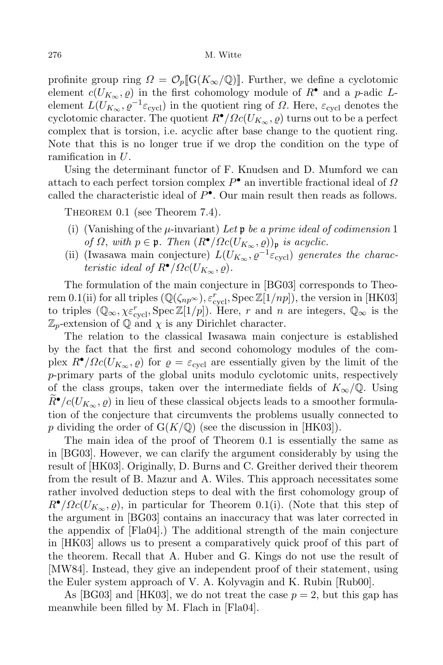profinite group ring  $\Omega = \mathcal{O}_p[[G(K_\infty/\mathbb{Q})]]$ . Further, we define a cyclotomic element  $c(U_{K_{\infty}}, \varrho)$  in the first cohomology module of  $R^{\bullet}$  and a p-adic Lelement  $L(U_{K_{\infty}}, \varrho^{-1} \varepsilon_{\text{cycl}})$  in the quotient ring of  $\Omega$ . Here,  $\varepsilon_{\text{cycl}}$  denotes the cyclotomic character. The quotient  $R^{\bullet}/\Omega c(U_{K_{\infty}}, \varrho)$  turns out to be a perfect complex that is torsion, i.e. acyclic after base change to the quotient ring. Note that this is no longer true if we drop the condition on the type of ramification in U.

Using the determinant functor of F. Knudsen and D. Mumford we can attach to each perfect torsion complex  $P^{\bullet}$  an invertible fractional ideal of  $\Omega$ called the characteristic ideal of  $P^{\bullet}$ . Our main result then reads as follows.

Theorem 0.1 (see Theorem 7.4).

- (i) (Vanishing of the  $\mu$ -invariant) Let  $\mathfrak p$  be a prime ideal of codimension 1 of  $\Omega$ , with  $p \in \mathfrak{p}$ . Then  $(R^{\bullet}/\Omega c(U_{K_{\infty}}, \varrho))_{\mathfrak{p}}$  is acyclic.
- (ii) (Iwasawa main conjecture)  $L(U_{K_{\infty}}, \varrho^{-1} \varepsilon_{\text{cycl}})$  generates the characteristic ideal of  $R^{\bullet}/\Omega c(U_{K_{\infty}}, \varrho)$ .

The formulation of the main conjecture in [BG03] corresponds to Theorem 0.1(ii) for all triples  $(\mathbb{Q}(\zeta_{np^\infty}), \varepsilon_{\text{cycl}}^r, \text{Spec } \mathbb{Z}[1/np]),$  the version in [HK03] to triples  $(\mathbb{Q}_{\infty}, \chi \varepsilon_{\text{cycl}}^r, \text{Spec } \mathbb{Z}[1/p])$ . Here, r and n are integers,  $\mathbb{Q}_{\infty}$  is the  $\mathbb{Z}_p$ -extension of  $\mathbb Q$  and  $\chi$  is any Dirichlet character.

The relation to the classical Iwasawa main conjecture is established by the fact that the first and second cohomology modules of the complex  $R^{\bullet}/\Omega c(U_{K_{\infty}}, \varrho)$  for  $\varrho = \varepsilon_{\text{cycl}}$  are essentially given by the limit of the p-primary parts of the global units modulo cyclotomic units, respectively of the class groups, taken over the intermediate fields of  $K_{\infty}/\mathbb{Q}$ . Using  $R^{\bullet}/c(U_{K_{\infty}},\rho)$  in lieu of these classical objects leads to a smoother formulation of the conjecture that circumvents the problems usually connected to p dividing the order of  $G(K/\mathbb{Q})$  (see the discussion in [HK03]).

The main idea of the proof of Theorem 0.1 is essentially the same as in [BG03]. However, we can clarify the argument considerably by using the result of [HK03]. Originally, D. Burns and C. Greither derived their theorem from the result of B. Mazur and A. Wiles. This approach necessitates some rather involved deduction steps to deal with the first cohomology group of  $R^{\bullet}/\Omega c(U_{K_{\infty}}, \rho)$ , in particular for Theorem 0.1(i). (Note that this step of the argument in [BG03] contains an inaccuracy that was later corrected in the appendix of [Fla04].) The additional strength of the main conjecture in [HK03] allows us to present a comparatively quick proof of this part of the theorem. Recall that A. Huber and G. Kings do not use the result of [MW84]. Instead, they give an independent proof of their statement, using the Euler system approach of V. A. Kolyvagin and K. Rubin [Rub00].

As [BG03] and [HK03], we do not treat the case  $p = 2$ , but this gap has meanwhile been filled by M. Flach in [Fla04].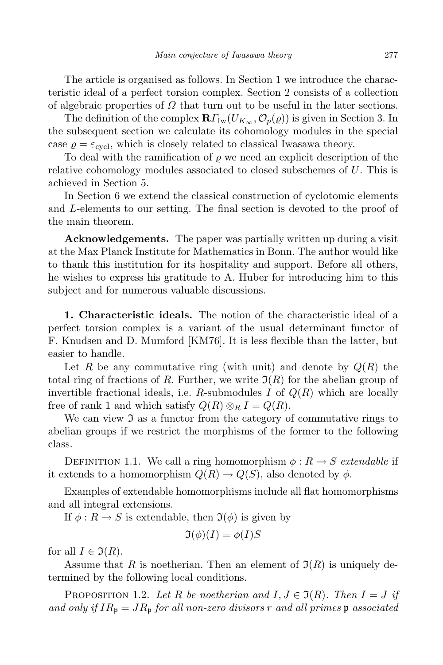The article is organised as follows. In Section 1 we introduce the characteristic ideal of a perfect torsion complex. Section 2 consists of a collection of algebraic properties of  $\Omega$  that turn out to be useful in the later sections.

The definition of the complex  $\mathbf{R}\Gamma_{\text{Iw}}(U_{K_{\infty}}, \mathcal{O}_p(\varrho))$  is given in Section 3. In the subsequent section we calculate its cohomology modules in the special case  $\varrho = \varepsilon_{\text{cycl}}$ , which is closely related to classical Iwasawa theory.

To deal with the ramification of  $\rho$  we need an explicit description of the relative cohomology modules associated to closed subschemes of  $U$ . This is achieved in Section 5.

In Section 6 we extend the classical construction of cyclotomic elements and L-elements to our setting. The final section is devoted to the proof of the main theorem.

Acknowledgements. The paper was partially written up during a visit at the Max Planck Institute for Mathematics in Bonn. The author would like to thank this institution for its hospitality and support. Before all others, he wishes to express his gratitude to A. Huber for introducing him to this subject and for numerous valuable discussions.

1. Characteristic ideals. The notion of the characteristic ideal of a perfect torsion complex is a variant of the usual determinant functor of F. Knudsen and D. Mumford [KM76]. It is less flexible than the latter, but easier to handle.

Let R be any commutative ring (with unit) and denote by  $Q(R)$  the total ring of fractions of R. Further, we write  $\mathfrak{I}(R)$  for the abelian group of invertible fractional ideals, i.e. R-submodules I of  $Q(R)$  which are locally free of rank 1 and which satisfy  $Q(R) \otimes_R I = Q(R)$ .

We can view  $\mathfrak I$  as a functor from the category of commutative rings to abelian groups if we restrict the morphisms of the former to the following class.

DEFINITION 1.1. We call a ring homomorphism  $\phi : R \to S$  extendable if it extends to a homomorphism  $Q(R) \to Q(S)$ , also denoted by  $\phi$ .

Examples of extendable homomorphisms include all flat homomorphisms and all integral extensions.

If  $\phi: R \to S$  is extendable, then  $\mathfrak{I}(\phi)$  is given by

$$
\Im(\phi)(I) = \phi(I)S
$$

for all  $I \in \mathfrak{I}(R)$ .

Assume that R is noetherian. Then an element of  $\mathfrak{I}(R)$  is uniquely determined by the following local conditions.

PROPOSITION 1.2. Let R be noetherian and  $I, J \in \mathfrak{I}(R)$ . Then  $I = J$  if and only if  $IR_p = JR_p$  for all non-zero divisors r and all primes p associated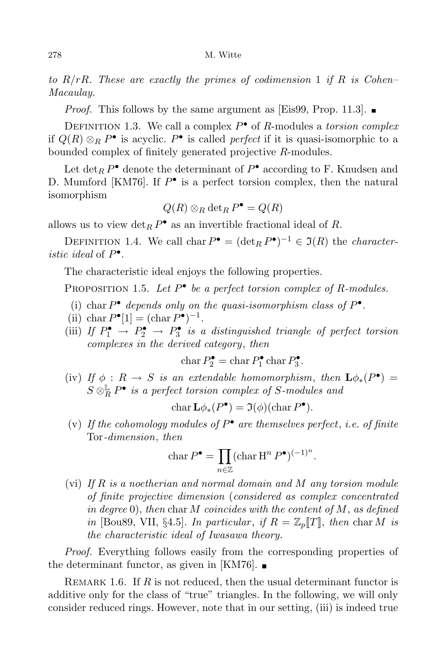to  $R/rR$ . These are exactly the primes of codimension 1 if R is Cohen– Macaulay.

*Proof.* This follows by the same argument as [Eis99, Prop. 11.3].

DEFINITION 1.3. We call a complex  $P^{\bullet}$  of R-modules a torsion complex if  $Q(R) \otimes_R P^{\bullet}$  is acyclic.  $P^{\bullet}$  is called *perfect* if it is quasi-isomorphic to a bounded complex of finitely generated projective R-modules.

Let  $\det_R P^{\bullet}$  denote the determinant of  $P^{\bullet}$  according to F. Knudsen and D. Mumford [KM76]. If  $P^{\bullet}$  is a perfect torsion complex, then the natural isomorphism

$$
Q(R) \otimes_R \det_R P^{\bullet} = Q(R)
$$

allows us to view  $\det_R P^{\bullet}$  as an invertible fractional ideal of R.

DEFINITION 1.4. We call char  $P^{\bullet} = (\det_R P^{\bullet})^{-1} \in \mathfrak{I}(R)$  the *character*istic ideal of  $P^{\bullet}$ .

The characteristic ideal enjoys the following properties.

PROPOSITION 1.5. Let  $P^{\bullet}$  be a perfect torsion complex of R-modules.

- (i) char  $P^{\bullet}$  depends only on the quasi-isomorphism class of  $P^{\bullet}$ .
- (ii) char  $P^{\bullet}[1] = (\text{char } P^{\bullet})^{-1}$ .
- (iii) If  $P_1^{\bullet} \rightarrow P_2^{\bullet} \rightarrow P_3^{\bullet}$  is a distinguished triangle of perfect torsion complexes in the derived category, then

 $char P_2^{\bullet} = char P_1^{\bullet}$  $P_1^{\bullet}$  char  $P_3^{\bullet}$  $\frac{1}{3}$ .

(iv) If  $\phi : R \to S$  is an extendable homomorphism, then  $\mathbf{L}\phi_*(P^{\bullet}) =$  $S \otimes_R^{\mathbb{L}} P^{\bullet}$  is a perfect torsion complex of S-modules and

$$
\operatorname{char} \mathbf{L}\phi_*(P^{\bullet}) = \mathfrak{I}(\phi)(\operatorname{char} P^{\bullet}).
$$

(v) If the cohomology modules of  $P^{\bullet}$  are themselves perfect, i.e. of finite Tor-dimension, then

$$
\operatorname{char} P^{\bullet} = \prod_{n \in \mathbb{Z}} (\operatorname{char} \operatorname{H}^n P^{\bullet})^{(-1)^n}.
$$

(vi) If R is a noetherian and normal domain and M any torsion module of finite projective dimension (considered as complex concentrated in degree 0), then char M coincides with the content of M, as defined in [Bou89, VII, §4.5]. In particular, if  $R = \mathbb{Z}_p[[T]]$ , then char M is the characteristic ideal of Iwasawa theory.

Proof. Everything follows easily from the corresponding properties of the determinant functor, as given in [KM76].  $\blacksquare$ 

REMARK 1.6. If R is not reduced, then the usual determinant functor is additive only for the class of "true" triangles. In the following, we will only consider reduced rings. However, note that in our setting, (iii) is indeed true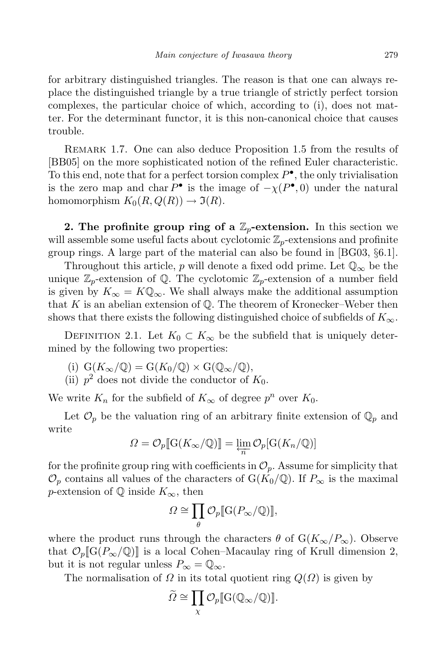for arbitrary distinguished triangles. The reason is that one can always replace the distinguished triangle by a true triangle of strictly perfect torsion complexes, the particular choice of which, according to (i), does not matter. For the determinant functor, it is this non-canonical choice that causes trouble.

REMARK 1.7. One can also deduce Proposition 1.5 from the results of [BB05] on the more sophisticated notion of the refined Euler characteristic. To this end, note that for a perfect torsion complex  $P^{\bullet}$ , the only trivialisation is the zero map and char  $P^{\bullet}$  is the image of  $-\chi(P^{\bullet}, 0)$  under the natural homomorphism  $K_0(R, Q(R)) \to \mathfrak{I}(R)$ .

2. The profinite group ring of a  $\mathbb{Z}_p$ -extension. In this section we will assemble some useful facts about cyclotomic  $\mathbb{Z}_p$ -extensions and profinite group rings. A large part of the material can also be found in [BG03, §6.1].

Throughout this article, p will denote a fixed odd prime. Let  $\mathbb{Q}_{\infty}$  be the unique  $\mathbb{Z}_p$ -extension of Q. The cyclotomic  $\mathbb{Z}_p$ -extension of a number field is given by  $K_{\infty} = K \mathbb{Q}_{\infty}$ . We shall always make the additional assumption that  $K$  is an abelian extension of  $\mathbb Q$ . The theorem of Kronecker–Weber then shows that there exists the following distinguished choice of subfields of  $K_{\infty}$ .

DEFINITION 2.1. Let  $K_0 \subset K_\infty$  be the subfield that is uniquely determined by the following two properties:

(i)  $G(K_\infty/\mathbb{Q}) = G(K_0/\mathbb{Q}) \times G(\mathbb{Q}_\infty/\mathbb{Q}),$ 

(ii)  $p^2$  does not divide the conductor of  $K_0$ .

We write  $K_n$  for the subfield of  $K_{\infty}$  of degree  $p^n$  over  $K_0$ .

Let  $\mathcal{O}_p$  be the valuation ring of an arbitrary finite extension of  $\mathbb{Q}_p$  and write

$$
\Omega = \mathcal{O}_p[\![\mathrm{G}(K_\infty/\mathbb{Q})]\!] = \varprojlim_n \mathcal{O}_p[\mathrm{G}(K_n/\mathbb{Q})]
$$

for the profinite group ring with coefficients in  $\mathcal{O}_p$ . Assume for simplicity that  $\mathcal{O}_p$  contains all values of the characters of G(K<sub>0</sub>/Q). If  $P_\infty$  is the maximal p-extension of  $\mathbb Q$  inside  $K_{\infty}$ , then

$$
\varOmega \cong \prod_{\theta} \mathcal{O}_p[\![\mathrm{G}(P_{\infty}/\mathbb{Q})]\!],
$$

where the product runs through the characters  $\theta$  of  $G(K_{\infty}/P_{\infty})$ . Observe that  $\mathcal{O}_p[\![G(P_\infty/\mathbb{Q})]\!]$  is a local Cohen–Macaulay ring of Krull dimension 2, but it is not regular unless  $P_{\infty} = \mathbb{Q}_{\infty}$ .

The normalisation of  $\Omega$  in its total quotient ring  $Q(\Omega)$  is given by

$$
\widetilde{\Omega} \cong \prod_{\chi} \mathcal{O}_p[\![\mathrm{G}(\mathbb{Q}_\infty/\mathbb{Q})]\!].
$$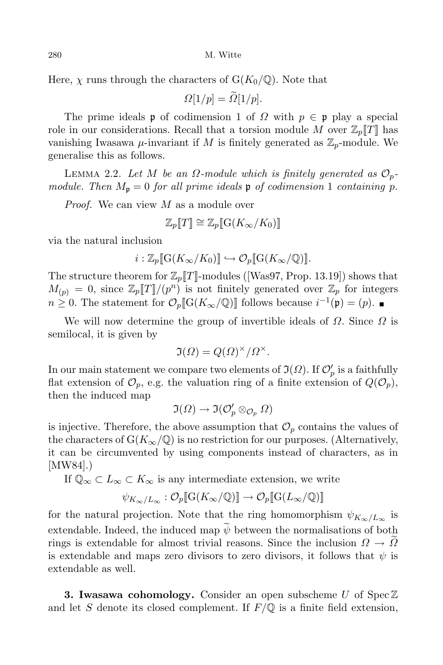280 M. Witte

Here,  $\chi$  runs through the characters of  $G(K_0/\mathbb{Q})$ . Note that

 $\Omega[1/p] = \widetilde{\Omega}[1/p].$ 

The prime ideals **p** of codimension 1 of  $\Omega$  with  $p \in \mathfrak{p}$  play a special role in our considerations. Recall that a torsion module M over  $\mathbb{Z}_p[[T]]$  has vanishing Iwasawa  $\mu$ -invariant if M is finitely generated as  $\mathbb{Z}_p$ -module. We generalise this as follows.

LEMMA 2.2. Let M be an  $\Omega$ -module which is finitely generated as  $\mathcal{O}_p$ module. Then  $M_p = 0$  for all prime ideals  $\mathfrak p$  of codimension 1 containing p.

Proof. We can view M as a module over

$$
\mathbb{Z}_p[\![T]\!]\cong \mathbb{Z}_p[\![\mathrm{G}(K_\infty/K_0)]\!]
$$

via the natural inclusion

$$
i:\mathbb{Z}_p[\![\mathrm{G}(K_{\infty}/K_0)]\!]\hookrightarrow \mathcal{O}_p[\![\mathrm{G}(K_{\infty}/\mathbb{Q})\!]\!].
$$

The structure theorem for  $\mathbb{Z}_p[[T]]$ -modules ([Was97, Prop. 13.19]) shows that  $M_{(p)} = 0$ , since  $\mathbb{Z}_p[[T]]/(p^n)$  is not finitely generated over  $\mathbb{Z}_p$  for integers  $n \geq 0$ . The statement for  $\mathcal{O}_p[\![\mathrm{G}(K_\infty/\mathbb{Q})]\!]$  follows because  $i^{-1}(\mathfrak{p}) = (p)$ .

We will now determine the group of invertible ideals of  $\Omega$ . Since  $\Omega$  is semilocal, it is given by

$$
\mathfrak{I}(\Omega) = Q(\Omega)^{\times}/\Omega^{\times}.
$$

In our main statement we compare two elements of  $\mathfrak{I}(\varOmega)$ . If  $\mathcal{O}'_p$  is a faithfully flat extension of  $\mathcal{O}_p$ , e.g. the valuation ring of a finite extension of  $Q(\mathcal{O}_p)$ , then the induced map

$$
\mathfrak{I}(\varOmega)\to\mathfrak{I}(\mathcal{O}_p'\otimes_{\mathcal{O}_p}\varOmega)
$$

is injective. Therefore, the above assumption that  $\mathcal{O}_p$  contains the values of the characters of  $G(K_\infty/\mathbb{Q})$  is no restriction for our purposes. (Alternatively, it can be circumvented by using components instead of characters, as in [MW84].)

If  $\mathbb{Q}_{\infty} \subset L_{\infty} \subset K_{\infty}$  is any intermediate extension, we write

$$
\psi_{K_{\infty}/L_{\infty}} : \mathcal{O}_p[\![\mathrm{G}(K_{\infty}/\mathbb{Q})]\!] \to \mathcal{O}_p[\![\mathrm{G}(L_{\infty}/\mathbb{Q})]\!]
$$

for the natural projection. Note that the ring homomorphism  $\psi_{K_{\infty}/L_{\infty}}$  is extendable. Indeed, the induced map  $\widetilde{\psi}$  between the normalisations of both rings is extendable for almost trivial reasons. Since the inclusion  $\Omega \to \Omega$ is extendable and maps zero divisors to zero divisors, it follows that  $\psi$  is extendable as well.

**3. Iwasawa cohomology.** Consider an open subscheme U of Spec  $\mathbb{Z}$ and let S denote its closed complement. If  $F/\mathbb{Q}$  is a finite field extension,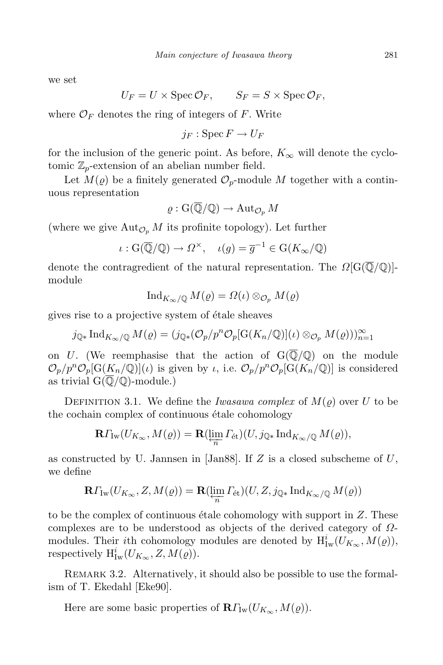we set

$$
U_F = U \times \operatorname{Spec} \mathcal{O}_F, \qquad S_F = S \times \operatorname{Spec} \mathcal{O}_F,
$$

where  $\mathcal{O}_F$  denotes the ring of integers of F. Write

 $i_F : \operatorname{Spec} F \to U_F$ 

for the inclusion of the generic point. As before,  $K_{\infty}$  will denote the cyclotomic  $\mathbb{Z}_p$ -extension of an abelian number field.

Let  $M(\varrho)$  be a finitely generated  $\mathcal{O}_p$ -module M together with a continuous representation

$$
\varrho : \mathrm{G}(\overline{\mathbb{Q}}/\mathbb{Q}) \to \mathrm{Aut}_{\mathcal{O}_p} M
$$

(where we give  $\text{Aut}_{\mathcal{O}_p} M$  its profinite topology). Let further

 $\iota : G(\overline{\mathbb{Q}}/\mathbb{Q}) \to \Omega^\times$ ,  $\iota(g) = \overline{g}^{-1} \in G(K_\infty/\mathbb{Q})$ 

denote the contragredient of the natural representation. The  $\Omega[\mathbb{G}(\overline{\mathbb{Q}}/\mathbb{Q})]$ module

$$
\operatorname{Ind}_{K_{\infty}/\mathbb{Q}} M(\varrho) = \Omega(\iota) \otimes_{\mathcal{O}_p} M(\varrho)
$$

gives rise to a projective system of étale sheaves

 $j_{\mathbb{Q}*}\operatorname{Ind}_{K_{\infty}/\mathbb{Q}}M(\varrho)=(j_{\mathbb{Q}*}(\mathcal{O}_p/p^n\mathcal{O}_p[\operatorname{G}(K_n/\mathbb{Q})](\iota)\otimes_{\mathcal{O}_p}M(\varrho)))_{n=1}^{\infty}$ 

on U. (We reemphasise that the action of  $G(\overline{\mathbb{Q}}/\mathbb{Q})$  on the module  $\mathcal{O}_p/p^n\mathcal{O}_p[G(\underline{K}_n/\mathbb{Q})](\iota)$  is given by  $\iota$ , i.e.  $\mathcal{O}_p/p^n\mathcal{O}_p[G(K_n/\mathbb{Q})]$  is considered as trivial  $G(\overline{\mathbb{Q}}/\mathbb{Q})$ -module.)

DEFINITION 3.1. We define the Iwasawa complex of  $M(\varrho)$  over U to be the cochain complex of continuous étale cohomology

$$
\mathbf{R}\Gamma_{\mathrm{Iw}}(U_{K_{\infty}}, M(\varrho)) = \mathbf{R}(\varprojlim_{n} \Gamma_{\mathrm{\acute{e}t}})(U, j_{\mathbb{Q}*}\mathrm{Ind}_{K_{\infty}/\mathbb{Q}} M(\varrho)),
$$

as constructed by U. Jannsen in [Jan88]. If Z is a closed subscheme of  $U$ , we define

$$
\mathbf{R}\Gamma_{\mathrm{Iw}}(U_{K_{\infty}}, Z, M(\varrho)) = \mathbf{R}(\varprojlim_{n} \Gamma_{\mathrm{\acute{e}t}})(U, Z, j_{\mathbb{Q}*}\mathrm{Ind}_{K_{\infty}/\mathbb{Q}}M(\varrho))
$$

to be the complex of continuous étale cohomology with support in  $Z$ . These complexes are to be understood as objects of the derived category of  $\Omega$ modules. Their *i*th cohomology modules are denoted by  $H^i_{\text{Iw}}(U_{K_\infty}, M(\varrho)),$ respectively  $H^i_{\mathrm{Iw}}(U_{K_\infty}, Z, M(\varrho)).$ 

REMARK 3.2. Alternatively, it should also be possible to use the formalism of T. Ekedahl [Eke90].

Here are some basic properties of  $\mathbf{R}\Gamma_{\text{Iw}}(U_{K_{\infty}}, M(\varrho)).$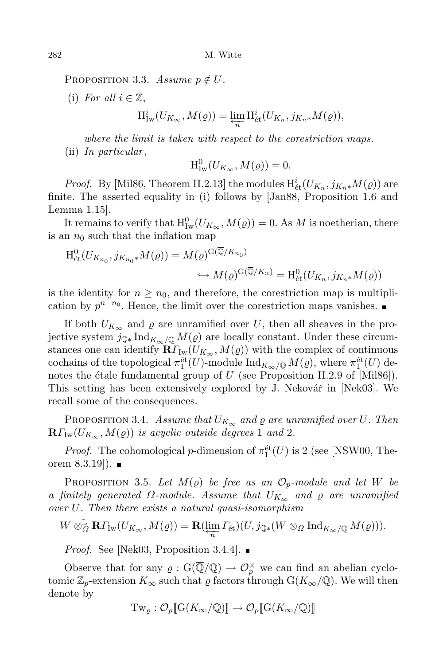PROPOSITION 3.3. Assume  $p \notin U$ .

(i) For all  $i \in \mathbb{Z}$ ,

$$
\mathrm{H}^i_{\mathrm{Iw}}(U_{K_{\infty}}, M(\varrho)) = \varprojlim_{n} \mathrm{H}^i_{\mathrm{\acute{e}t}}(U_{K_n}, j_{K_n \ast} M(\varrho)),
$$

where the limit is taken with respect to the corestriction maps.  $(ii)$  In particular,

 $H^0_{\text{Iw}}(U_{K_{\infty}}, M(\varrho)) = 0.$ 

*Proof.* By [Mil86, Theorem II.2.13] the modules  $H^i_{\text{\'et}}(U_{K_n}, j_{K_n *}M(\varrho))$  are finite. The asserted equality in (i) follows by [Jan88, Proposition 1.6 and Lemma 1.15].

It remains to verify that  $H^0_{\text{Iw}}(U_{K_\infty}, M(\varrho)) = 0$ . As M is noetherian, there is an  $n_0$  such that the inflation map

$$
H_{\text{\'et}}^0(U_{K_{n_0}}, j_{K_{n_0}*}M(\varrho)) = M(\varrho)^{G(\mathbb{Q}/K_{n_0})}
$$
  

$$
\hookrightarrow M(\varrho)^{G(\mathbb{Q}/K_n)} = H_{\text{\'et}}^0(U_{K_n}, j_{K_n*}M(\varrho))
$$

is the identity for  $n \geq n_0$ , and therefore, the corestriction map is multiplication by  $p^{n-n_0}$ . Hence, the limit over the corestriction maps vanishes.

If both  $U_{K_{\infty}}$  and  $\varrho$  are unramified over U, then all sheaves in the projective system  $j_{\mathbb{Q} *} \text{Ind}_{K_{\infty}/\mathbb{Q}} M(\varrho)$  are locally constant. Under these circumstances one can identify  $\widetilde{\mathbf{R}f}_{\mathrm{Iw}}(U_{K_{\infty}}, M(\varrho))$  with the complex of continuous cochains of the topological  $\pi_1^{\text{\'et}}(U)$ -module  $\text{Ind}_{K_\infty/\mathbb{Q}} M(\varrho)$ , where  $\pi_1^{\text{\'et}}(U)$  denotes the étale fundamental group of  $U$  (see Proposition II.2.9 of [Mil86]). This setting has been extensively explored by J. Nekovář in [Nek03]. We recall some of the consequences.

PROPOSITION 3.4. Assume that  $U_{K_{\infty}}$  and  $\varrho$  are unramified over U. Then  $\mathbf{R}\Gamma_{\text{Iw}}(U_{K_{\infty}},M(\varrho))$  is acyclic outside degrees 1 and 2.

*Proof.* The cohomological *p*-dimension of  $\pi_1^{\text{\'et}}(U)$  is 2 (see [NSW00, Theorem 8.3.19]). ■

PROPOSITION 3.5. Let  $M(\varrho)$  be free as an  $\mathcal{O}_p$ -module and let W be a finitely generated  $\Omega$ -module. Assume that  $U_{K_{\infty}}$  and  $\varrho$  are unramified over U. Then there exists a natural quasi-isomorphism

$$
W\otimes^{\mathbb{L}}_{\Omega}\mathbf{R}\Gamma_{\mathrm{Iw}}(U_{K_{\infty}},M(\varrho))=\mathbf{R}(\varprojlim_{n}\Gamma_{\mathrm{\acute{e}t}})(U,j_{\mathbb{Q}*}(W\otimes_{\Omega}\mathrm{Ind}_{K_{\infty}/\mathbb{Q}}M(\varrho))).
$$

*Proof.* See [Nek03, Proposition 3.4.4].

Observe that for any  $\varrho: G(\overline{\mathbb{Q}}/\mathbb{Q}) \to \mathcal{O}_p^{\times}$  we can find an abelian cyclotomic  $\mathbb{Z}_p$ -extension  $K_{\infty}$  such that  $\varrho$  factors through  $G(K_{\infty}/\mathbb{Q})$ . We will then denote by

$$
\mathrm{Tw}_{\varrho} : \mathcal{O}_p[\![\mathrm{G}(K_\infty/\mathbb{Q})]\!]\to \mathcal{O}_p[\![\mathrm{G}(K_\infty/\mathbb{Q})]\!]
$$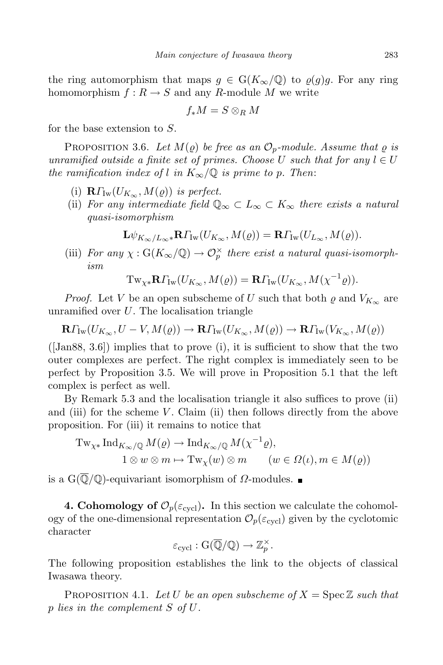the ring automorphism that maps  $g \in G(K_\infty/\mathbb{Q})$  to  $\varrho(g)g$ . For any ring homomorphism  $f: R \to S$  and any R-module M we write

$$
f_*M=S\otimes_R M
$$

for the base extension to S.

PROPOSITION 3.6. Let  $M(\rho)$  be free as an  $\mathcal{O}_p$ -module. Assume that  $\rho$  is unramified outside a finite set of primes. Choose U such that for any  $l \in U$ the ramification index of l in  $K_{\infty}/\mathbb{Q}$  is prime to p. Then:

- (i)  $\mathbf{R}\Gamma_{\text{Iw}}(U_{K_{\infty}}, M(\varrho))$  is perfect.
- (ii) For any intermediate field  $\mathbb{Q}_{\infty} \subset L_{\infty} \subset K_{\infty}$  there exists a natural quasi-isomorphism

$$
\mathbf{L} \psi_{K_\infty/L_\infty\ast}\mathbf{R} \varGamma_{\mathrm{Iw}}(U_{K_\infty},M(\varrho))=\mathbf{R} \varGamma_{\mathrm{Iw}}(U_{L_\infty},M(\varrho)).
$$

(iii) For any  $\chi : G(K_{\infty}/\mathbb{Q}) \to \mathcal{O}_{p}^{\times}$  there exist a natural quasi-isomorphism

$$
\operatorname{Tw}_{\chi*} \mathbf{R} \Gamma_{\operatorname{Iw}}(U_{K_{\infty}}, M(\varrho)) = \mathbf{R} \Gamma_{\operatorname{Iw}}(U_{K_{\infty}}, M(\chi^{-1}\varrho)).
$$

*Proof.* Let V be an open subscheme of U such that both  $\varrho$  and  $V_{K_{\infty}}$  are unramified over  $U$ . The localisation triangle

 $\mathbf{R}\Gamma_{\text{Iw}}(U_{K_{\infty}},U-V,M(\varrho))\to \mathbf{R}\Gamma_{\text{Iw}}(U_{K_{\infty}},M(\varrho))\to \mathbf{R}\Gamma_{\text{Iw}}(V_{K_{\infty}},M(\varrho))$ 

 $([Jan88, 3.6])$  implies that to prove (i), it is sufficient to show that the two outer complexes are perfect. The right complex is immediately seen to be perfect by Proposition 3.5. We will prove in Proposition 5.1 that the left complex is perfect as well.

By Remark 5.3 and the localisation triangle it also suffices to prove (ii) and (iii) for the scheme  $V$ . Claim (ii) then follows directly from the above proposition. For (iii) it remains to notice that

$$
\mathrm{Tw}_{\chi*}\mathrm{Ind}_{K_{\infty}/\mathbb{Q}}M(\varrho)\to \mathrm{Ind}_{K_{\infty}/\mathbb{Q}}M(\chi^{-1}\varrho),
$$
  

$$
1\otimes w\otimes m\mapsto \mathrm{Tw}_{\chi}(w)\otimes m\qquad (w\in \Omega(\iota), m\in M(\varrho))
$$

is a  $G(\overline{\mathbb{Q}}/\mathbb{Q})$ -equivariant isomorphism of  $\Omega$ -modules. ■

**4. Cohomology of**  $\mathcal{O}_p(\varepsilon_{\text{cycl}})$ . In this section we calculate the cohomology of the one-dimensional representation  $\mathcal{O}_p(\varepsilon_{\text{cycl}})$  given by the cyclotomic character

$$
\varepsilon_{\text{cycl}}: G(\overline{\mathbb{Q}}/\mathbb{Q}) \to \mathbb{Z}_p^\times.
$$

The following proposition establishes the link to the objects of classical Iwasawa theory.

PROPOSITION 4.1. Let U be an open subscheme of  $X = \text{Spec } \mathbb{Z}$  such that p lies in the complement S of U.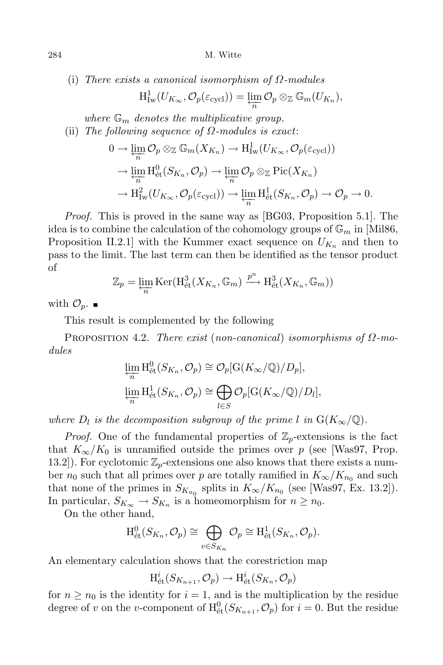(i) There exists a canonical isomorphism of  $\Omega$ -modules

$$
\mathrm{H}^1_{\mathrm{Iw}}(U_{K_{\infty}}, \mathcal{O}_p(\varepsilon_{\mathrm{cycl}})) = \varprojlim_n \mathcal{O}_p \otimes_{\mathbb{Z}} \mathbb{G}_m(U_{K_n}),
$$

where  $\mathbb{G}_m$  denotes the multiplicative group. (ii) The following sequence of  $\Omega$ -modules is exact:

$$
0 \to \varprojlim_{n} \mathcal{O}_{p} \otimes_{\mathbb{Z}} \mathbb{G}_{m}(X_{K_{n}}) \to \mathrm{H}^{1}_{\mathrm{Iw}}(U_{K_{\infty}}, \mathcal{O}_{p}(\varepsilon_{\mathrm{cycl}}))
$$
  

$$
\to \varprojlim_{n} \mathrm{H}^{0}_{\mathrm{\acute{e}t}}(S_{K_{n}}, \mathcal{O}_{p}) \to \varprojlim_{n} \mathcal{O}_{p} \otimes_{\mathbb{Z}} \mathrm{Pic}(X_{K_{n}})
$$
  

$$
\to \mathrm{H}^{2}_{\mathrm{Iw}}(U_{K_{\infty}}, \mathcal{O}_{p}(\varepsilon_{\mathrm{cycl}})) \to \varprojlim_{n} \mathrm{H}^{1}_{\mathrm{\acute{e}t}}(S_{K_{n}}, \mathcal{O}_{p}) \to \mathcal{O}_{p} \to 0.
$$

Proof. This is proved in the same way as [BG03, Proposition 5.1]. The idea is to combine the calculation of the cohomology groups of  $\mathbb{G}_m$  in [Mil86, Proposition II.2.1 with the Kummer exact sequence on  $U_{K_n}$  and then to pass to the limit. The last term can then be identified as the tensor product of

$$
\mathbb{Z}_p = \varprojlim_n \text{Ker}(\mathrm{H}_{\text{\'et}}^3(X_{K_n}, \mathbb{G}_m) \xrightarrow{p^n} \mathrm{H}_{\text{\'et}}^3(X_{K_n}, \mathbb{G}_m))
$$

with  $\mathcal{O}_p$ .

This result is complemented by the following

PROPOSITION 4.2. There exist (non-canonical) isomorphisms of  $\Omega$ -modules

$$
\varprojlim_{n} H_{\text{\'et}}^{0}(S_{K_{n}}, \mathcal{O}_{p}) \cong \mathcal{O}_{p}[G(K_{\infty}/\mathbb{Q})/D_{p}],
$$
  

$$
\varprojlim_{n} H_{\text{\'et}}^{1}(S_{K_{n}}, \mathcal{O}_{p}) \cong \bigoplus_{l \in S} \mathcal{O}_{p}[G(K_{\infty}/\mathbb{Q})/D_{l}],
$$

where  $D_l$  is the decomposition subgroup of the prime l in  $G(K_{\infty}/\mathbb{Q})$ .

*Proof.* One of the fundamental properties of  $\mathbb{Z}_p$ -extensions is the fact that  $K_{\infty}/K_0$  is unramified outside the primes over p (see [Was97, Prop. 13.2). For cyclotomic  $\mathbb{Z}_p$ -extensions one also knows that there exists a number  $n_0$  such that all primes over p are totally ramified in  $K_{\infty}/K_{n_0}$  and such that none of the primes in  $S_{K_{n_0}}$  splits in  $K_{\infty}/K_{n_0}$  (see [Was97, Ex. 13.2]). In particular,  $S_{K_{\infty}} \to S_{K_n}$  is a homeomorphism for  $n \geq n_0$ .

On the other hand,

$$
\mathrm{H}_{\mathrm{\acute{e}t}}^0(S_{K_n}, \mathcal{O}_p) \cong \bigoplus_{v \in S_{K_n}} \mathcal{O}_p \cong \mathrm{H}_{\mathrm{\acute{e}t}}^1(S_{K_n}, \mathcal{O}_p).
$$

An elementary calculation shows that the corestriction map

$$
H^i_{\text{\'et}}(S_{K_{n+1}}, \mathcal{O}_p) \to H^i_{\text{\'et}}(S_{K_n}, \mathcal{O}_p)
$$

for  $n \geq n_0$  is the identity for  $i = 1$ , and is the multiplication by the residue degree of v on the v-component of  $H^0_{\text{\'et}}(S_{K_{n+1}}, \mathcal{O}_p)$  for  $i = 0$ . But the residue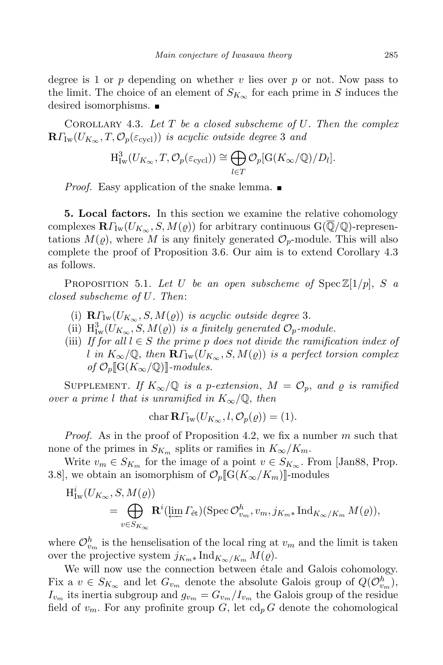degree is 1 or p depending on whether v lies over p or not. Now pass to the limit. The choice of an element of  $S_{K_{\infty}}$  for each prime in S induces the desired isomorphisms.

COROLLARY 4.3. Let  $T$  be a closed subscheme of  $U$ . Then the complex  $\mathbf{R}\Gamma_{\text{Iw}}(U_{K_{\infty}},T,\mathcal{O}_p(\varepsilon_{\text{cycl}}))$  is acyclic outside degree 3 and

$$
H^3_{\mathrm{Iw}}(U_{K_{\infty}}, T, \mathcal{O}_p(\varepsilon_{\mathrm{cycl}})) \cong \bigoplus_{l \in T} \mathcal{O}_p[\mathrm{G}(K_{\infty}/\mathbb{Q})/D_l].
$$

*Proof.* Easy application of the snake lemma.  $\blacksquare$ 

5. Local factors. In this section we examine the relative cohomology complexes  $\mathbf{R}\Gamma_{\text{Iw}}(U_{K_{\infty}}, S, M(\varrho))$  for arbitrary continuous  $G(\mathbb{Q}/\mathbb{Q})$ -representations  $M(\varrho)$ , where M is any finitely generated  $\mathcal{O}_p$ -module. This will also complete the proof of Proposition 3.6. Our aim is to extend Corollary 4.3 as follows.

PROPOSITION 5.1. Let U be an open subscheme of  $\text{Spec } \mathbb{Z}[1/p], S$  a closed subscheme of U. Then:

- (i)  $\mathbf{R}\Gamma_{\text{Iw}}(U_{K_{\infty}}, S, M(\varrho))$  is acyclic outside degree 3.
- (ii)  $H^3_{\text{Iw}}(U_{K_{\infty}}, S, M(\varrho))$  is a finitely generated  $\mathcal{O}_p$ -module.
- (iii) If for all  $l \in S$  the prime p does not divide the ramification index of l in  $K_{\infty}/\mathbb{Q}$ , then  $\mathbf{R}\Gamma_{\text{Iw}}(U_{K_{\infty}}, S, M(\varrho))$  is a perfect torsion complex of  $\mathcal{O}_n[\![\mathrm{G}(K_\infty/\mathbb{Q})]\!]$ -modules.

SUPPLEMENT. If  $K_{\infty}/\mathbb{Q}$  is a p-extension,  $M = \mathcal{O}_p$ , and  $\varrho$  is ramified over a prime l that is unramified in  $K_{\infty}/\mathbb{Q}$ , then

$$
char \mathbf{R}\Gamma_{\mathrm{Iw}}(U_{K_{\infty}}, l, \mathcal{O}_p(\varrho)) = (1).
$$

*Proof.* As in the proof of Proposition 4.2, we fix a number  $m$  such that none of the primes in  $S_{K_m}$  splits or ramifies in  $K_{\infty}/K_m$ .

Write  $v_m \in S_{K_m}$  for the image of a point  $v \in S_{K_\infty}$ . From [Jan88, Prop. 3.8], we obtain an isomorphism of  $\mathcal{O}_p[[G(K_{\infty}/K_m)]]$ -modules

$$
H^i_{\mathrm{Iw}}(U_{K_{\infty}}, S, M(\varrho))
$$
  
=  $\bigoplus_{v \in S_{K_{\infty}}} \mathbf{R}^i(\underleftarrow{\lim} \Gamma_{\mathrm{\acute{e}t}})(\mathrm{Spec} \, \mathcal{O}_{v_m}^h, v_m, j_{K_{m^*}} \mathrm{Ind}_{K_{\infty}/K_m} M(\varrho)),$ 

where  $\mathcal{O}_{v_m}^h$  is the henselisation of the local ring at  $v_m$  and the limit is taken over the projective system  $j_{K_m *} \text{Ind}_{K_\infty/K_m} M(\varrho)$ .

We will now use the connection between étale and Galois cohomology. Fix a  $v \in S_{K_{\infty}}$  and let  $G_{v_m}$  denote the absolute Galois group of  $Q(\mathcal{O}_{v_m}^h)$ ,  $I_{v_m}$  its inertia subgroup and  $g_{v_m} = G_{v_m}/I_{v_m}$  the Galois group of the residue field of  $v_m$ . For any profinite group G, let  $\text{cd}_p G$  denote the cohomological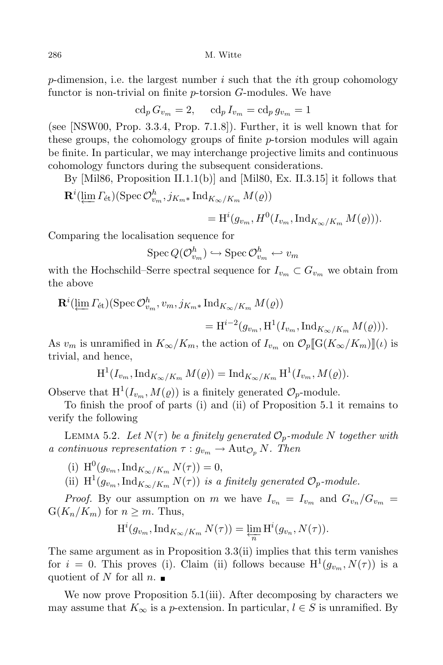p-dimension, i.e. the largest number i such that the ith group cohomology functor is non-trivial on finite p-torsion G-modules. We have

$$
\operatorname{cd}_p G_{v_m} = 2, \quad \operatorname{cd}_p I_{v_m} = \operatorname{cd}_p g_{v_m} = 1
$$

(see [NSW00, Prop. 3.3.4, Prop. 7.1.8]). Further, it is well known that for these groups, the cohomology groups of finite  $p$ -torsion modules will again be finite. In particular, we may interchange projective limits and continuous cohomology functors during the subsequent considerations.

By [Mil86, Proposition II.1.1(b)] and [Mil80, Ex. II.3.15] it follows that  $\mathbf{R}^i(\underleftarrow{\lim} \Gamma_{\text{\'et}})(\operatorname{Spec} \mathcal{O}^h_{v_m}, j_{K_m *} \operatorname{Ind}_{K_\infty/K_m} M(\varrho))$ 

$$
= \mathrm{H}^i(g_{v_m}, H^0(I_{v_m}, \mathrm{Ind}_{K_\infty/K_m} M(\varrho))).
$$

Comparing the localisation sequence for

 $\operatorname{Spec} Q(\mathcal{O}_{v_m}^h) \hookrightarrow \operatorname{Spec} \mathcal{O}_{v_m}^h \hookleftarrow v_m$ 

with the Hochschild–Serre spectral sequence for  $I_{v_m} \subset G_{v_m}$  we obtain from the above

$$
\mathbf{R}^i(\varprojlim \Gamma_{\text{\'et}})(\text{Spec}\,\mathcal{O}_{v_m}^h, v_m, j_{K_m*}\,\text{Ind}_{K_\infty/K_m} M(\varrho))
$$
  
= 
$$
\text{H}^{i-2}(g_{v_m}, \text{H}^1(I_{v_m}, \text{Ind}_{K_\infty/K_m} M(\varrho))).
$$

As  $v_m$  is unramified in  $K_\infty/K_m$ , the action of  $I_{v_m}$  on  $\mathcal{O}_p[\![\mathrm{G}(K_\infty/K_m)]\!](\iota)$  is trivial, and hence,

$$
\mathrm{H}^{1}(I_{v_{m}}, \mathrm{Ind}_{K_{\infty}/K_{m}} M(\varrho)) = \mathrm{Ind}_{K_{\infty}/K_{m}} \mathrm{H}^{1}(I_{v_{m}}, M(\varrho)).
$$

Observe that  $H^1(I_{v_m}, M(\varrho))$  is a finitely generated  $\mathcal{O}_p$ -module.

To finish the proof of parts (i) and (ii) of Proposition 5.1 it remains to verify the following

LEMMA 5.2. Let  $N(\tau)$  be a finitely generated  $\mathcal{O}_p$ -module N together with a continuous representation  $\tau : g_{v_m} \to \text{Aut}_{\mathcal{O}_p} N$ . Then

- (i)  $H^0(g_{v_m}, \text{Ind}_{K_\infty/K_m} N(\tau)) = 0,$
- (ii)  $\mathrm{H}^1(g_{v_m}, \mathrm{Ind}_{K_\infty/K_m} N(\tau))$  is a finitely generated  $\mathcal{O}_p$ -module.

*Proof.* By our assumption on m we have  $I_{v_n} = I_{v_m}$  and  $G_{v_n}/G_{v_m} =$  $G(K_n/K_m)$  for  $n \geq m$ . Thus,

$$
\mathrm{H}^i(g_{v_m}, \mathrm{Ind}_{K_\infty/K_m} N(\tau)) = \varprojlim_n \mathrm{H}^i(g_{v_n}, N(\tau)).
$$

The same argument as in Proposition 3.3(ii) implies that this term vanishes for  $i = 0$ . This proves (i). Claim (ii) follows because  $H^1(g_{v_m}, N(\tau))$  is a quotient of N for all  $n.$ 

We now prove Proposition 5.1(iii). After decomposing by characters we may assume that  $K_{\infty}$  is a p-extension. In particular,  $l \in S$  is unramified. By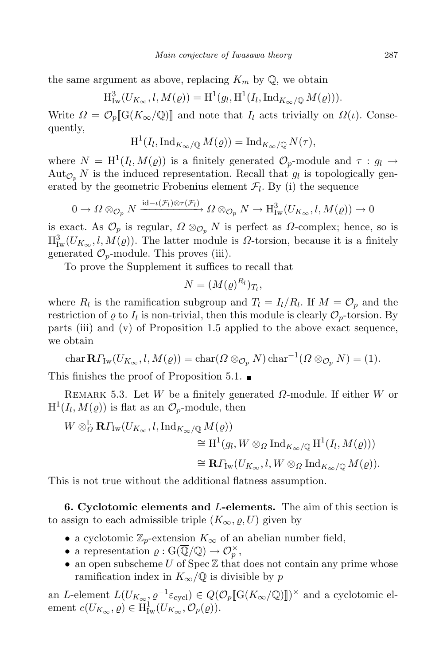the same argument as above, replacing  $K_m$  by  $\mathbb{Q}$ , we obtain

$$
\mathrm{H}^3_{\mathrm{Iw}}(U_{K_{\infty}}, l, M(\varrho)) = \mathrm{H}^1(g_l, \mathrm{H}^1(I_l, \mathrm{Ind}_{K_{\infty}}/\mathbb{Q} M(\varrho))).
$$

Write  $\Omega = \mathcal{O}_p[G(K_\infty/\mathbb{Q})]$  and note that  $I_l$  acts trivially on  $\Omega(\iota)$ . Consequently,

$$
H^1(I_l, \mathrm{Ind}_{K_{\infty}/\mathbb{Q}} M(\varrho)) = \mathrm{Ind}_{K_{\infty}/\mathbb{Q}} N(\tau),
$$

where  $N = H^1(I_l, M(\varrho))$  is a finitely generated  $\mathcal{O}_p$ -module and  $\tau : g_l \to$  $\text{Aut}_{\mathcal{O}_p} N$  is the induced representation. Recall that  $g_l$  is topologically generated by the geometric Frobenius element  $\mathcal{F}_l$ . By (i) the sequence

$$
0 \to \Omega \otimes_{\mathcal{O}_p} N \xrightarrow{\mathrm{id}-\iota(\mathcal{F}_l) \otimes \tau(\mathcal{F}_l)} \Omega \otimes_{\mathcal{O}_p} N \to \mathrm{H}^3_{\mathrm{Iw}}(U_{K_{\infty}},l,M(\varrho)) \to 0
$$

is exact. As  $\mathcal{O}_p$  is regular,  $\Omega \otimes_{\mathcal{O}_p} N$  is perfect as  $\Omega$ -complex; hence, so is  $H^3_{\text{Iw}}(U_{K_\infty},\ell,M(\varrho)).$  The latter module is  $\Omega$ -torsion, because it is a finitely generated  $\mathcal{O}_p$ -module. This proves (iii).

To prove the Supplement it suffices to recall that

$$
N=(M(\varrho)^{R_l})_{T_l},
$$

where  $R_l$  is the ramification subgroup and  $T_l = I_l/R_l$ . If  $M = \mathcal{O}_p$  and the restriction of  $\varrho$  to  $I_l$  is non-trivial, then this module is clearly  $\mathcal{O}_p$ -torsion. By parts (iii) and (v) of Proposition 1.5 applied to the above exact sequence, we obtain

$$
\operatorname{char} \mathbf{R}\Gamma_{\mathrm{Iw}}(U_{K_{\infty}}, l, M(\varrho)) = \operatorname{char}(\Omega \otimes_{\mathcal{O}_p} N) \operatorname{char}^{-1}(\Omega \otimes_{\mathcal{O}_p} N) = (1).
$$

This finishes the proof of Proposition 5.1.  $\blacksquare$ 

REMARK 5.3. Let W be a finitely generated  $\Omega$ -module. If either W or  $H^1(I_l, M(\varrho))$  is flat as an  $\mathcal{O}_p$ -module, then

$$
W \otimes_{\Omega}^{\mathbb{L}} \mathbf{R} \Gamma_{\mathrm{Iw}}(U_{K_{\infty}}, l, \mathrm{Ind}_{K_{\infty}/\mathbb{Q}} M(\varrho))
$$
  
\n
$$
\cong \mathrm{H}^{1}(g_{l}, W \otimes_{\Omega} \mathrm{Ind}_{K_{\infty}/\mathbb{Q}} \mathrm{H}^{1}(I_{l}, M(\varrho)))
$$
  
\n
$$
\cong \mathbf{R} \Gamma_{\mathrm{Iw}}(U_{K_{\infty}}, l, W \otimes_{\Omega} \mathrm{Ind}_{K_{\infty}/\mathbb{Q}} M(\varrho)).
$$

This is not true without the additional flatness assumption.

6. Cyclotomic elements and L-elements. The aim of this section is to assign to each admissible triple  $(K_{\infty}, \varrho, U)$  given by

- a cyclotomic  $\mathbb{Z}_p$ -extension  $K_{\infty}$  of an abelian number field,
- a representation  $\varrho: G(\overline{\mathbb{Q}}/\mathbb{Q}) \to \mathcal{O}_p^{\times}$ ,
- an open subscheme U of  $Spec \mathbb{Z}$  that does not contain any prime whose ramification index in  $K_{\infty}/\mathbb{Q}$  is divisible by p

an L-element  $L(U_{K_{\infty}}, \varrho^{-1} \varepsilon_{\text{cycl}}) \in Q(\mathcal{O}_p[\![\mathrm{G}(K_{\infty}/\mathbb{Q})]\!])^{\times}$  and a cyclotomic element  $c(U_{K_{\infty}}, \varrho) \in \mathrm{H}^1_{\mathrm{Iw}}(U_{K_{\infty}}, \mathcal{O}_p(\varrho)).$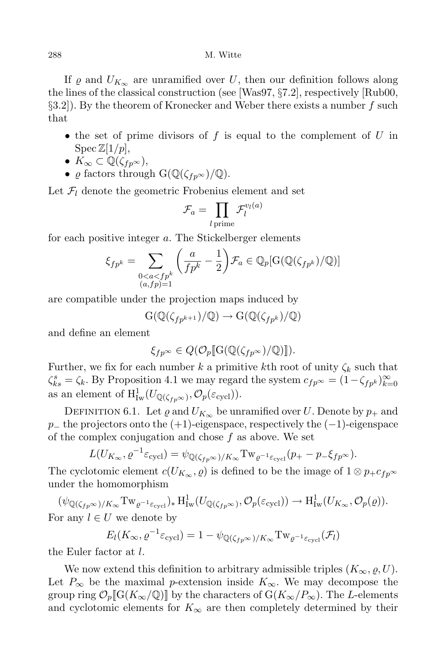If  $\rho$  and  $U_{K_{\infty}}$  are unramified over U, then our definition follows along the lines of the classical construction (see [Was97, §7.2], respectively [Rub00,  $\S3.2$ ). By the theorem of Kronecker and Weber there exists a number f such that

- the set of prime divisors of f is equal to the complement of  $U$  in  $\text{Spec } \mathbb{Z}[1/p],$
- $K_{\infty} \subset \mathbb{Q}(\zeta_{fp^{\infty}}),$
- $\varrho$  factors through  $G(\mathbb{Q}(\zeta_{fp^\infty})/\mathbb{Q})$ .

Let  $\mathcal{F}_l$  denote the geometric Frobenius element and set

$$
\mathcal{F}_a = \prod_{l \, \mathrm{prime}} \mathcal{F}_l^{v_l(a)}
$$

for each positive integer a. The Stickelberger elements

$$
\xi_{fp^k} = \sum_{\substack{0 < a < fp^k \\ (a, fp) = 1}} \left( \frac{a}{fp^k} - \frac{1}{2} \right) \mathcal{F}_a \in \mathbb{Q}_p[\mathcal{G}(\mathbb{Q}(\zeta_{fp^k})/\mathbb{Q})]
$$

are compatible under the projection maps induced by

 $G(\mathbb{Q}(\zeta_{fp^{k+1}})/\mathbb{Q}) \to G(\mathbb{Q}(\zeta_{fp^{k}})/\mathbb{Q})$ 

and define an element

$$
\xi_{fp^\infty} \in Q(\mathcal{O}_p[\![\mathrm{G}(\mathbb{Q}(\zeta_{fp^\infty})/\mathbb{Q})]\!]).
$$

Further, we fix for each number k a primitive kth root of unity  $\zeta_k$  such that  $\zeta_{ks}^s = \zeta_k$ . By Proposition 4.1 we may regard the system  $c_{fp^{\infty}} = (1 - \zeta_{fp^k})_{k=0}^{\infty}$ as an element of  $\mathrm{H}^1_{\mathrm{Iw}}(U_{\mathbb{Q}(\zeta_{fp^\infty})}, \mathcal{O}_p(\varepsilon_{\mathrm{cycl}})).$ 

DEFINITION 6.1. Let  $\varrho$  and  $U_{K_{\infty}}$  be unramified over U. Denote by  $p_{+}$  and  $p_+$  the projectors onto the  $(+1)$ -eigenspace, respectively the  $(-1)$ -eigenspace of the complex conjugation and chose  $f$  as above. We set

$$
L(U_{K_{\infty}}, \varrho^{-1} \varepsilon_{\text{cycl}}) = \psi_{\mathbb{Q}(\zeta_{fp} \infty)/K_{\infty}} \text{Tw}_{\varrho^{-1} \varepsilon_{\text{cycl}}}(p_{+} - p_{-} \xi_{fp^{\infty}}).
$$

The cyclotomic element  $c(U_{K_{\infty}}, \varrho)$  is defined to be the image of  $1 \otimes p_{+}c_{fp^{\infty}}$ under the homomorphism

 $(\psi_{\mathbb{Q}(\zeta_{fp^\infty})/K_\infty}\mathrm{Tw}_{\varrho^{-1}\varepsilon_{\text{cycl}}})_*\mathrm{H}^1_{\mathrm{Iw}}(U_{\mathbb{Q}(\zeta_{fp^\infty})},\mathcal{O}_p(\varepsilon_{\text{cycl}}))\to \mathrm{H}^1_{\mathrm{Iw}}(U_{K_\infty},\mathcal{O}_p(\varrho)).$ For any  $l \in U$  we denote by

$$
E_l(K_{\infty}, \varrho^{-1} \varepsilon_{\text{cycl}}) = 1 - \psi_{\mathbb{Q}(\zeta_{fp^{\infty}})/K_{\infty}} \text{Tw}_{\varrho^{-1} \varepsilon_{\text{cycl}}}(\mathcal{F}_l)
$$

the Euler factor at l.

We now extend this definition to arbitrary admissible triples  $(K_{\infty}, \varrho, U)$ . Let  $P_{\infty}$  be the maximal p-extension inside  $K_{\infty}$ . We may decompose the group ring  $\mathcal{O}_p[\![\mathrm{G}(K_\infty/\mathbb{Q})]\!]$  by the characters of  $\mathrm{G}(K_\infty/P_\infty)$ . The L-elements and cyclotomic elements for  $K_{\infty}$  are then completely determined by their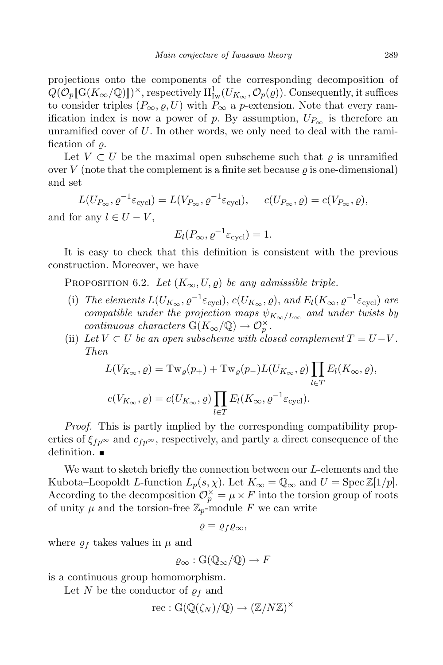projections onto the components of the corresponding decomposition of  $Q(\mathcal{O}_p[\![\mathrm{G}(K_\infty/\mathbb{Q})]\!])^\times$ , respectively  $\mathrm{H}^1_{\mathrm{Iw}}(U_{K_\infty},\mathcal{O}_p(\varrho)).$  Consequently, it suffices to consider triples  $(P_{\infty}, \varrho, U)$  with  $P_{\infty}$  a p-extension. Note that every ramification index is now a power of p. By assumption,  $U_{P_{\infty}}$  is therefore an unramified cover of  $U$ . In other words, we only need to deal with the ramification of  $\rho$ .

Let  $V \subset U$  be the maximal open subscheme such that  $\rho$  is unramified over V (note that the complement is a finite set because  $\rho$  is one-dimensional) and set

 $L(U_{P_{\infty}}, \varrho^{-1} \varepsilon_{\text{cycl}}) = L(V_{P_{\infty}}, \varrho^{-1} \varepsilon_{\text{cycl}}), \quad c(U_{P_{\infty}}, \varrho) = c(V_{P_{\infty}}, \varrho),$ and for any  $l \in U - V$ ,

$$
E_l(P_\infty, \varrho^{-1} \varepsilon_{\text{cycl}}) = 1.
$$

It is easy to check that this definition is consistent with the previous construction. Moreover, we have

PROPOSITION 6.2. Let  $(K_{\infty}, U, \rho)$  be any admissible triple.

- (i) The elements  $L(U_{K_{\infty}}, \varrho^{-1} \varepsilon_{\text{cycl}}), c(U_{K_{\infty}}, \varrho),$  and  $E_l(K_{\infty}, \varrho^{-1} \varepsilon_{\text{cycl}})$  are compatible under the projection maps  $\psi_{K_{\infty}/L_{\infty}}$  and under twists by continuous characters  $G(K_{\infty}/\mathbb{Q}) \to \mathcal{O}_{p}^{\times}$ .
- (ii) Let  $V \subset U$  be an open subscheme with closed complement  $T = U-V$ . Then

$$
L(V_{K_{\infty}}, \varrho) = \mathrm{Tw}_{\varrho}(p_{+}) + \mathrm{Tw}_{\varrho}(p_{-})L(U_{K_{\infty}}, \varrho) \prod_{l \in T} E_{l}(K_{\infty}, \varrho),
$$
  

$$
c(V_{K_{\infty}}, \varrho) = c(U_{K_{\infty}}, \varrho) \prod_{l \in T} E_{l}(K_{\infty}, \varrho^{-1} \varepsilon_{\text{cycl}}).
$$

Proof. This is partly implied by the corresponding compatibility properties of  $\xi_{fp} \sim$  and  $c_{fp} \sim$ , respectively, and partly a direct consequence of the definition.

We want to sketch briefly the connection between our L-elements and the Kubota–Leopoldt L-function  $L_p(s, \chi)$ . Let  $K_\infty = \mathbb{Q}_\infty$  and  $U = \text{Spec } \mathbb{Z}[1/p]$ . According to the decomposition  $\mathcal{O}_p^{\times} = \mu \times F$  into the torsion group of roots of unity  $\mu$  and the torsion-free  $\mathbb{Z}_p$ -module F we can write

$$
\varrho=\varrho_f\varrho_\infty,
$$

where  $\rho_f$  takes values in  $\mu$  and

$$
\varrho_{\infty}: G(\mathbb{Q}_{\infty}/\mathbb{Q}) \to F
$$

is a continuous group homomorphism.

Let N be the conductor of  $\rho_f$  and

$$
\mathrm{rec} : \mathrm{G}(\mathbb{Q}(\zeta_N)/\mathbb{Q}) \to (\mathbb{Z}/N\mathbb{Z})^\times
$$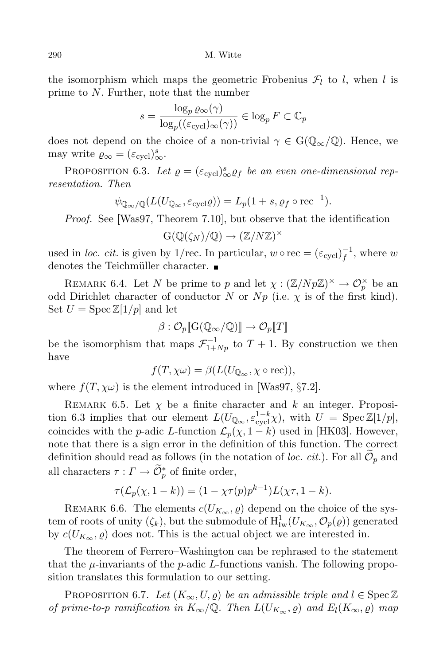290 M. Witte

the isomorphism which maps the geometric Frobenius  $\mathcal{F}_l$  to l, when l is prime to N. Further, note that the number

$$
s = \frac{\log_p \varrho_\infty(\gamma)}{\log_p((\varepsilon_{\text{cycl}})_{\infty}(\gamma))} \in \log_p F \subset \mathbb{C}_p
$$

does not depend on the choice of a non-trivial  $\gamma \in G(\mathbb{Q}_{\infty}/\mathbb{Q})$ . Hence, we may write  $\varrho_{\infty} = (\varepsilon_{\text{cycl}})_{\infty}^s$ .

PROPOSITION 6.3. Let  $\varrho = (\varepsilon_{\text{cycl}})_{\infty}^s \varrho_f$  be an even one-dimensional representation. Then

$$
\psi_{\mathbb{Q}_{\infty}/\mathbb{Q}}(L(U_{\mathbb{Q}_{\infty}}, \varepsilon_{\mathrm{cycl}}\varrho)) = L_p(1+s, \varrho_f \circ \mathrm{rec}^{-1}).
$$

Proof. See [Was97, Theorem 7.10], but observe that the identification

$$
G(\mathbb{Q}(\zeta_N)/\mathbb{Q}) \to (\mathbb{Z}/N\mathbb{Z})^{\times}
$$

used in loc. cit. is given by 1/rec. In particular,  $w \circ \text{rec} = (\varepsilon_{\text{cycl}})_f^{-1}$  $f^1$ , where w denotes the Teichmüller character.  $\blacksquare$ 

REMARK 6.4. Let N be prime to p and let  $\chi: (\mathbb{Z}/Np\mathbb{Z})^{\times} \to \mathcal{O}_{p}^{\times}$  be an odd Dirichlet character of conductor N or Np (i.e.  $\chi$  is of the first kind). Set  $U = \text{Spec } \mathbb{Z}[1/p]$  and let

$$
\beta:\mathcal{O}_p[\![\mathrm{G}(\mathbb{Q}_\infty/\mathbb{Q})]\!]\to \mathcal{O}_p[\![T]\!]
$$

be the isomorphism that maps  $\mathcal{F}_{1+Np}^{-1}$  to  $T+1$ . By construction we then have

$$
f(T, \chi\omega) = \beta(L(U_{\mathbb{Q}_{\infty}}, \chi \circ \text{rec})),
$$

where  $f(T, \chi\omega)$  is the element introduced in [Was97, §7.2].

REMARK 6.5. Let  $\chi$  be a finite character and k an integer. Proposition 6.3 implies that our element  $L(U_{\mathbb{Q}_{\infty}}, \varepsilon_{\text{cycl}}^{1-k}\chi)$ , with  $U = \text{Spec } \mathbb{Z}[1/p],$ coincides with the p-adic L-function  $\mathcal{L}_p(\chi, 1-k)$  used in [HK03]. However, note that there is a sign error in the definition of this function. The correct definition should read as follows (in the notation of *loc. cit.*). For all  $\mathcal{O}_p$  and all characters  $\tau: \Gamma \to \widetilde{\mathcal{O}}_p^*$  of finite order,

$$
\tau(\mathcal{L}_p(\chi, 1-k)) = (1 - \chi \tau(p) p^{k-1}) L(\chi \tau, 1-k).
$$

REMARK 6.6. The elements  $c(U_{K_{\infty}}, \varrho)$  depend on the choice of the system of roots of unity  $(\zeta_k)$ , but the submodule of  $H^1_{\mathrm{Iw}}(U_{K_\infty}, \mathcal{O}_p(\varrho))$  generated by  $c(U_{K_{\infty}}, \varrho)$  does not. This is the actual object we are interested in.

The theorem of Ferrero–Washington can be rephrased to the statement that the  $\mu$ -invariants of the p-adic L-functions vanish. The following proposition translates this formulation to our setting.

PROPOSITION 6.7. Let  $(K_{\infty}, U, \varrho)$  be an admissible triple and  $l \in \text{Spec } \mathbb{Z}$ of prime-to-p ramification in  $K_{\infty}/\mathbb{Q}$ . Then  $L(U_{K_{\infty}}, \varrho)$  and  $E_l(K_{\infty}, \varrho)$  map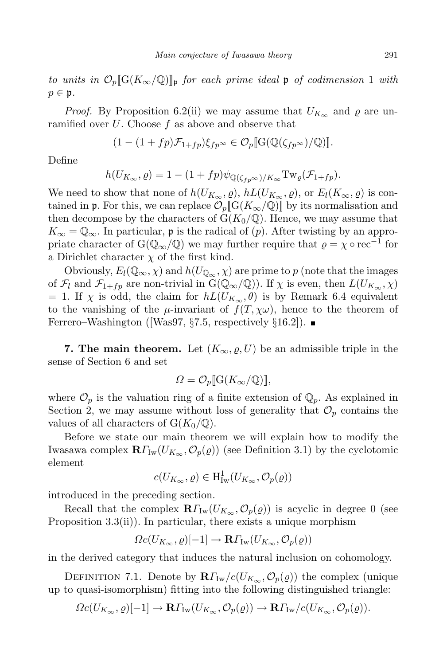to units in  $\mathcal{O}_p[\![G(K_{\infty}/\mathbb{Q})]\!]$  for each prime ideal p of codimension 1 with  $p \in \mathfrak{p}$ .

*Proof.* By Proposition 6.2(ii) we may assume that  $U_{K_{\infty}}$  and  $\varrho$  are unramified over  $U$ . Choose  $f$  as above and observe that

$$
(1 - (1 + fp)\mathcal{F}_{1+fp})\xi_{fp} \approx \mathcal{O}_p[\![G(\mathbb{Q}(\zeta_{fp^\infty})/\mathbb{Q})]\!].
$$

Define

$$
h(U_{K_{\infty}}, \varrho) = 1 - (1 + fp)\psi_{\mathbb{Q}(\zeta_{fp^{\infty}})/K_{\infty}} \mathrm{Tw}_{\varrho}(\mathcal{F}_{1+fp}).
$$

We need to show that none of  $h(U_{K_{\infty}}, \varrho)$ ,  $hL(U_{K_{\infty}}, \varrho)$ , or  $E_l(K_{\infty}, \varrho)$  is contained in **p**. For this, we can replace  $\mathcal{O}_p[\![G(K_\infty/\mathbb{Q})]\!]$  by its normalisation and then decompose by the characters of  $G(K_0/\mathbb{Q})$ . Hence, we may assume that  $K_{\infty} = \mathbb{Q}_{\infty}$ . In particular, p is the radical of  $(p)$ . After twisting by an appropriate character of  $G(\mathbb{Q}_{\infty}/\mathbb{Q})$  we may further require that  $\varrho = \chi \circ \text{rec}^{-1}$  for a Dirichlet character  $\chi$  of the first kind.

Obviously,  $E_l(\mathbb{Q}_{\infty}, \chi)$  and  $h(U_{\mathbb{Q}_{\infty}}, \chi)$  are prime to p (note that the images of  $\mathcal{F}_l$  and  $\mathcal{F}_{1+f p}$  are non-trivial in  $G(\mathbb{Q}_{\infty}/\mathbb{Q})$ . If  $\chi$  is even, then  $L(U_{K_{\infty}}, \chi)$ = 1. If  $\chi$  is odd, the claim for  $hL(U_{K_{\infty}}, \theta)$  is by Remark 6.4 equivalent to the vanishing of the  $\mu$ -invariant of  $f(T, \chi\omega)$ , hence to the theorem of Ferrero–Washington ([Was97,  $\S 7.5$ , respectively  $\S 16.2$ ]).

**7. The main theorem.** Let  $(K_{\infty}, \varrho, U)$  be an admissible triple in the sense of Section 6 and set

$$
\Omega = \mathcal{O}_p[\![\mathcal{G}(K_\infty/\mathbb{Q})]\!],
$$

where  $\mathcal{O}_p$  is the valuation ring of a finite extension of  $\mathbb{Q}_p$ . As explained in Section 2, we may assume without loss of generality that  $\mathcal{O}_p$  contains the values of all characters of  $G(K_0/\mathbb{Q})$ .

Before we state our main theorem we will explain how to modify the Iwasawa complex  $\mathbf{R}\Gamma_{\text{Iw}}(U_{K_{\infty}}, \mathcal{O}_p(\varrho))$  (see Definition 3.1) by the cyclotomic element

$$
c(U_{K_{\infty}},\varrho)\in \mathrm{H}^1_{\mathrm{Iw}}(U_{K_{\infty}},\mathcal{O}_p(\varrho))
$$

introduced in the preceding section.

Recall that the complex  $\mathbf{R}\Gamma_{\text{Iw}}(U_{K_{\infty}}, \mathcal{O}_p(\varrho))$  is acyclic in degree 0 (see Proposition 3.3(ii)). In particular, there exists a unique morphism

$$
\Omega c(U_{K_{\infty}},\varrho)[-1] \to \mathbf{R}\Gamma_{\mathrm{Iw}}(U_{K_{\infty}},\mathcal{O}_{p}(\varrho))
$$

in the derived category that induces the natural inclusion on cohomology.

DEFINITION 7.1. Denote by  $\mathbb{R}\Gamma_{\text{Iw}}/c(U_{K_{\infty}},\mathcal{O}_p(\varrho))$  the complex (unique up to quasi-isomorphism) fitting into the following distinguished triangle:

$$
\Omega c(U_{K_{\infty}},\varrho)[-1] \to \mathbf{R}\Gamma_{\mathrm{Iw}}(U_{K_{\infty}},\mathcal{O}_p(\varrho)) \to \mathbf{R}\Gamma_{\mathrm{Iw}}/c(U_{K_{\infty}},\mathcal{O}_p(\varrho)).
$$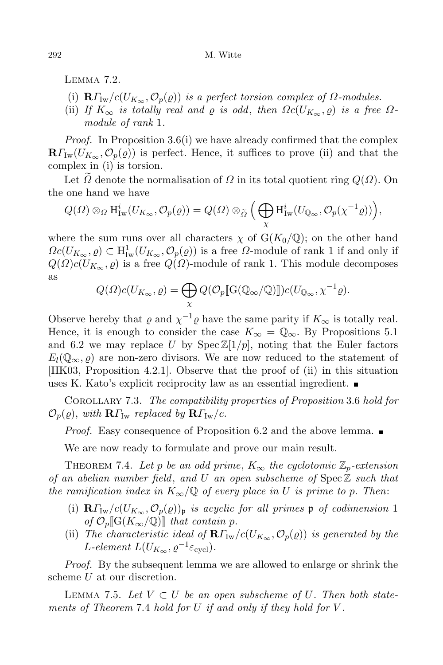LEMMA<sub>7.2</sub>.

- (i)  $\mathbf{R}\Gamma_{\text{Iw}}/c(U_{K_{\infty}},\mathcal{O}_p(\varrho))$  is a perfect torsion complex of  $\Omega$ -modules.
- (ii) If  $K_{\infty}$  is totally real and  $\varrho$  is odd, then  $\Omega c(U_{K_{\infty}}, \varrho)$  is a free  $\Omega$ module of rank 1.

Proof. In Proposition 3.6(i) we have already confirmed that the complex  $\mathbf{R}\Gamma_{\text{Iw}}(U_{K_{\infty}},\mathcal{O}_{p}(\varrho))$  is perfect. Hence, it suffices to prove (ii) and that the complex in (i) is torsion.

Let  $\Omega$  denote the normalisation of  $\Omega$  in its total quotient ring  $Q(\Omega)$ . On the one hand we have

$$
Q(\Omega)\otimes_{\Omega}\mathrm{H}^{i}_{\mathrm{Iw}}(U_{K_{\infty}},\mathcal{O}_{p}(\varrho))=Q(\Omega)\otimes_{\widetilde{\Omega}}\Big(\bigoplus_{\chi}\mathrm{H}^{i}_{\mathrm{Iw}}(U_{\mathbb{Q}_{\infty}},\mathcal{O}_{p}(\chi^{-1}\varrho))\Big),
$$

where the sum runs over all characters  $\chi$  of  $G(K_0/\mathbb{Q})$ ; on the other hand  $\Omega c(U_{K_{\infty}}, \varrho) \subset H^1_{\mathrm{Iw}}(U_{K_{\infty}}, \mathcal{O}_p(\varrho))$  is a free  $\Omega$ -module of rank 1 if and only if  $Q(\Omega)c(U_{K_{\infty}}, \rho)$  is a free  $Q(\Omega)$ -module of rank 1. This module decomposes as

$$
Q(\Omega)c(U_{K_{\infty}},\varrho)=\bigoplus_{\chi}Q(\mathcal{O}_{p}[\![\mathrm{G}(\mathbb{Q}_{\infty}/\mathbb{Q})]\!])c(U_{\mathbb{Q}_{\infty}},\chi^{-1}\varrho).
$$

Observe hereby that  $\varrho$  and  $\chi^{-1}\varrho$  have the same parity if  $K_{\infty}$  is totally real. Hence, it is enough to consider the case  $K_{\infty} = \mathbb{Q}_{\infty}$ . By Propositions 5.1 and 6.2 we may replace U by Spec  $\mathbb{Z}[1/p]$ , noting that the Euler factors  $E_l(\mathbb{Q}_{\infty}, \rho)$  are non-zero divisors. We are now reduced to the statement of [HK03, Proposition 4.2.1]. Observe that the proof of (ii) in this situation uses K. Kato's explicit reciprocity law as an essential ingredient.  $\blacksquare$ 

Corollary 7.3. The compatibility properties of Proposition 3.6 hold for  $\mathcal{O}_p(\varrho)$ , with  $\mathbf{R}\Gamma_{\text{Iw}}$  replaced by  $\mathbf{R}\Gamma_{\text{Iw}}/c$ .

*Proof.* Easy consequence of Proposition 6.2 and the above lemma.  $\blacksquare$ 

We are now ready to formulate and prove our main result.

THEOREM 7.4. Let p be an odd prime,  $K_{\infty}$  the cyclotomic  $\mathbb{Z}_p$ -extension of an abelian number field, and U an open subscheme of  $Spec\mathbb{Z}$  such that the ramification index in  $K_{\infty}/\mathbb{Q}$  of every place in U is prime to p. Then:

- (i)  $\mathbf{R}\Gamma_{\text{Iw}}/c(U_{K_{\infty}},\mathcal{O}_p(\varrho))_{\mathfrak{p}}$  is acyclic for all primes  $\mathfrak{p}$  of codimension 1 of  $\mathcal{O}_p[\![G(K_\infty/\mathbb{Q})]\!]$  that contain p.
- (ii) The characteristic ideal of  $\mathbf{R}\Gamma_{\text{Iw}}/c(U_{K_{\infty}}, \mathcal{O}_p(\varrho))$  is generated by the L-element  $L(U_{K_{\infty}}, \varrho^{-1} \varepsilon_{\text{cycl}}).$

Proof. By the subsequent lemma we are allowed to enlarge or shrink the scheme U at our discretion.

LEMMA 7.5. Let  $V \subset U$  be an open subscheme of U. Then both statements of Theorem 7.4 hold for U if and only if they hold for V .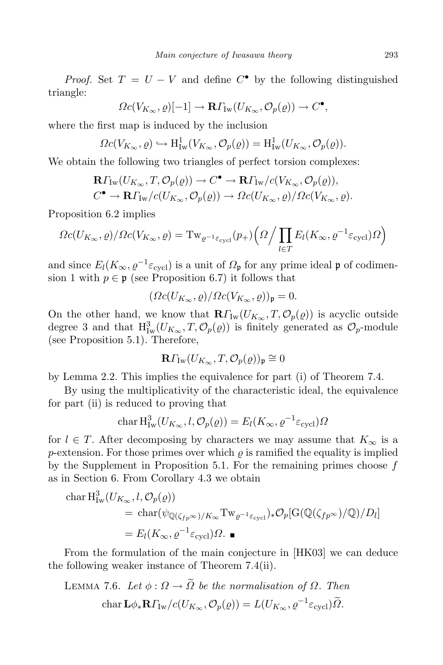*Proof.* Set  $T = U - V$  and define  $C^{\bullet}$  by the following distinguished triangle:

$$
\Omega c(V_{K_{\infty}},\varrho)[-1] \to \mathbf{R}\Gamma_{\mathrm{Iw}}(U_{K_{\infty}},\mathcal{O}_p(\varrho)) \to C^{\bullet},
$$

where the first map is induced by the inclusion

$$
\Omega c(V_{K_{\infty}}, \varrho) \hookrightarrow \mathrm{H}^1_{\mathrm{Iw}}(V_{K_{\infty}}, \mathcal{O}_p(\varrho)) = \mathrm{H}^1_{\mathrm{Iw}}(U_{K_{\infty}}, \mathcal{O}_p(\varrho)).
$$

We obtain the following two triangles of perfect torsion complexes:

$$
\mathbf{R}\Gamma_{\mathrm{Iw}}(U_{K_{\infty}},T,\mathcal{O}_p(\varrho))\to C^{\bullet}\to \mathbf{R}\Gamma_{\mathrm{Iw}}/c(V_{K_{\infty}},\mathcal{O}_p(\varrho)),
$$
  

$$
C^{\bullet}\to \mathbf{R}\Gamma_{\mathrm{Iw}}/c(U_{K_{\infty}},\mathcal{O}_p(\varrho))\to \Omega c(U_{K_{\infty}},\varrho)/\Omega c(V_{K_{\infty}},\varrho).
$$

Proposition 6.2 implies

$$
\Omega c(U_{K_{\infty}}, \varrho) / \Omega c(V_{K_{\infty}}, \varrho) = \mathrm{Tw}_{\varrho^{-1} \varepsilon_{\mathrm{cycl}}}(p_+) \left(\Omega / \prod_{l \in T} E_l(K_{\infty}, \varrho^{-1} \varepsilon_{\mathrm{cycl}}) \Omega\right)
$$

and since  $E_l(K_\infty, \rho^{-1} \varepsilon_{\text{cycl}})$  is a unit of  $\Omega_{\mathfrak{p}}$  for any prime ideal  $\mathfrak{p}$  of codimension 1 with  $p \in \mathfrak{p}$  (see Proposition 6.7) it follows that

$$
(\Omega c(U_{K_{\infty}},\varrho)/\Omega c(V_{K_{\infty}},\varrho))_{\mathfrak{p}}=0.
$$

On the other hand, we know that  $\mathbf{R}\Gamma_{\text{Iw}}(U_{K_{\infty}},T,\mathcal{O}_p(\varrho))$  is acyclic outside degree 3 and that  $H^3_{\text{Iw}}(U_{K_\infty}, T, \mathcal{O}_p(\varrho))$  is finitely generated as  $\mathcal{O}_p$ -module (see Proposition 5.1). Therefore,

$$
\mathbf{R}\Gamma_{\mathrm{Iw}}(U_{K_{\infty}},T,\mathcal{O}_p(\varrho))_{\mathfrak{p}}\cong 0
$$

by Lemma 2.2. This implies the equivalence for part (i) of Theorem 7.4.

By using the multiplicativity of the characteristic ideal, the equivalence for part (ii) is reduced to proving that

$$
\operatorname{char} \mathrm{H}^3_{\mathrm{Iw}}(U_{K_{\infty}}, l, \mathcal{O}_p(\varrho)) = E_l(K_{\infty}, \varrho^{-1} \varepsilon_{\text{cycl}}) \Omega
$$

for  $l \in T$ . After decomposing by characters we may assume that  $K_{\infty}$  is a  $p$ -extension. For those primes over which  $\rho$  is ramified the equality is implied by the Supplement in Proposition 5.1. For the remaining primes choose  $f$ as in Section 6. From Corollary 4.3 we obtain

$$
\begin{aligned} \operatorname{char} \mathrm{H}^3_{\mathrm{Iw}}(U_{K_{\infty}}, l, \mathcal{O}_p(\varrho)) \\ &= \operatorname{char}(\psi_{\mathbb{Q}(\zeta_{fp^\infty})/K_\infty} \mathrm{Tw}_{\varrho^{-1} \varepsilon_{\mathrm{cycl}}})_* \mathcal{O}_p[\mathrm{G}(\mathbb{Q}(\zeta_{fp^\infty})/\mathbb{Q})/D_l] \\ &= E_l(K_{\infty}, \varrho^{-1} \varepsilon_{\mathrm{cycl}}) \Omega. \end{aligned}
$$

From the formulation of the main conjecture in [HK03] we can deduce the following weaker instance of Theorem 7.4(ii).

LEMMA 7.6. Let 
$$
\phi : \Omega \to \tilde{\Omega}
$$
 be the normalisation of  $\Omega$ . Then  
char  $\mathbf{L}\phi_*\mathbf{R}\Gamma_{\text{Iw}}/c(U_{K_{\infty}}, \mathcal{O}_p(\varrho)) = L(U_{K_{\infty}}, \varrho^{-1}\varepsilon_{\text{cycl}})\tilde{\Omega}$ .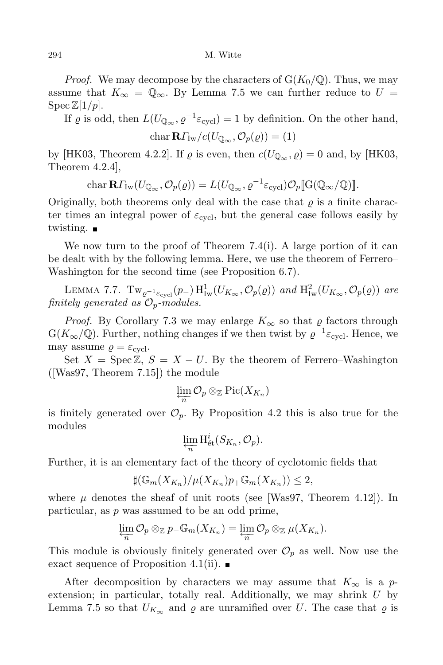*Proof.* We may decompose by the characters of  $G(K_0/\mathbb{Q})$ . Thus, we may assume that  $K_{\infty} = \mathbb{Q}_{\infty}$ . By Lemma 7.5 we can further reduce to  $U =$  $\operatorname{Spec} \mathbb{Z}[1/p].$ 

If  $\varrho$  is odd, then  $L(U_{\mathbb{Q}_{\infty}}, \varrho^{-1} \varepsilon_{\text{cycl}}) = 1$  by definition. On the other hand,

$$
\operatorname{char} \mathbf{R} \Gamma_{\mathrm{Iw}} / c(U_{\mathbb{Q}_{\infty}}, \mathcal{O}_p(\varrho)) = (1)
$$

by [HK03, Theorem 4.2.2]. If  $\varrho$  is even, then  $c(U_{\mathbb{Q}_{\infty}}, \varrho) = 0$  and, by [HK03, Theorem 4.2.4],

$$
\operatorname{char} \mathbf{R}\Gamma_{\mathrm{Iw}}(U_{\mathbb{Q}_{\infty}},\mathcal{O}_p(\varrho)) = L(U_{\mathbb{Q}_{\infty}},\varrho^{-1}\varepsilon_{\mathrm{cycl}})\mathcal{O}_p[\![\mathrm{G}(\mathbb{Q}_{\infty}/\mathbb{Q})]\!].
$$

Originally, both theorems only deal with the case that  $\rho$  is a finite character times an integral power of  $\varepsilon_{\text{cvel}}$ , but the general case follows easily by twisting.

We now turn to the proof of Theorem 7.4(i). A large portion of it can be dealt with by the following lemma. Here, we use the theorem of Ferrero– Washington for the second time (see Proposition 6.7).

LEMMA 7.7.  $\text{Tw}_{\varrho^{-1}\varepsilon_{\text{cycl}}}(p_{-})\,\text{H}^1_{\text{Iw}}(U_{K_{\infty}},\mathcal{O}_p(\varrho))$  and  $\text{H}^2_{\text{Iw}}(U_{K_{\infty}},\mathcal{O}_p(\varrho))$  are finitely generated as  $\mathcal{O}_p$ -modules.

*Proof.* By Corollary 7.3 we may enlarge  $K_{\infty}$  so that  $\varrho$  factors through  $G(K_{\infty}/\mathbb{Q})$ . Further, nothing changes if we then twist by  $\varrho^{-1} \varepsilon_{\text{cycl}}$ . Hence, we may assume  $\rho = \varepsilon_{\text{cycl}}$ .

Set  $X = \text{Spec } \mathbb{Z}, S = X - U$ . By the theorem of Ferrero–Washington ([Was97, Theorem 7.15]) the module

$$
\varprojlim_n \mathcal{O}_p \otimes_{\mathbb{Z}} \text{Pic}(X_{K_n})
$$

is finitely generated over  $\mathcal{O}_p$ . By Proposition 4.2 this is also true for the modules

$$
\varprojlim_{n} \mathrm{H}_{\mathrm{\acute{e}t}}^{i}(S_{K_{n}}, \mathcal{O}_{p}).
$$

Further, it is an elementary fact of the theory of cyclotomic fields that

$$
\sharp(\mathbb{G}_m(X_{K_n})/\mu(X_{K_n})p_+\mathbb{G}_m(X_{K_n}))\leq 2,
$$

where  $\mu$  denotes the sheaf of unit roots (see [Was97, Theorem 4.12]). In particular, as p was assumed to be an odd prime,

$$
\varprojlim_{n} \mathcal{O}_{p} \otimes_{\mathbb{Z}} p_{-} \mathbb{G}_{m}(X_{K_{n}}) = \varprojlim_{n} \mathcal{O}_{p} \otimes_{\mathbb{Z}} \mu(X_{K_{n}}).
$$

This module is obviously finitely generated over  $\mathcal{O}_p$  as well. Now use the exact sequence of Proposition 4.1(ii).  $\blacksquare$ 

After decomposition by characters we may assume that  $K_{\infty}$  is a pextension; in particular, totally real. Additionally, we may shrink  $U$  by Lemma 7.5 so that  $U_{K_{\infty}}$  and  $\varrho$  are unramified over U. The case that  $\varrho$  is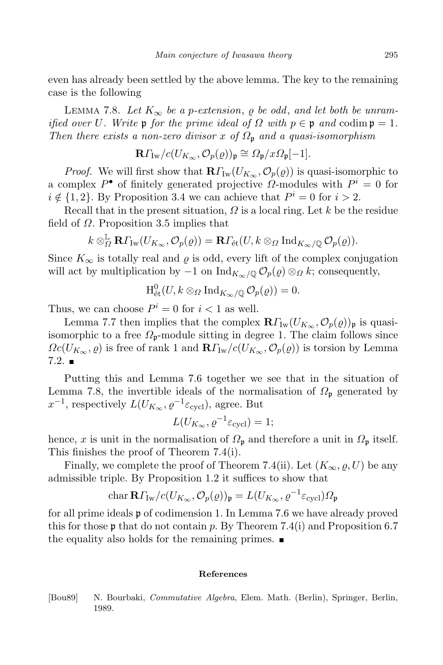even has already been settled by the above lemma. The key to the remaining case is the following

LEMMA 7.8. Let  $K_{\infty}$  be a p-extension,  $\rho$  be odd, and let both be unramified over U. Write p for the prime ideal of  $\Omega$  with  $p \in \mathfrak{p}$  and codim  $\mathfrak{p} = 1$ . Then there exists a non-zero divisor x of  $\Omega_p$  and a quasi-isomorphism

$$
\mathbf{R}\Gamma_{\mathrm{Iw}}/c(U_{K_{\infty}},\mathcal{O}_p(\varrho))_{\mathfrak{p}}\cong \Omega_{\mathfrak{p}}/x\Omega_{\mathfrak{p}}[-1].
$$

*Proof.* We will first show that  $\mathbf{R}\Gamma_{\text{Iw}}(U_{K_{\infty}}, \mathcal{O}_p(q))$  is quasi-isomorphic to a complex  $P^{\bullet}$  of finitely generated projective  $\hat{\Omega}$ -modules with  $P^i = 0$  for  $i \notin \{1, 2\}$ . By Proposition 3.4 we can achieve that  $P^i = 0$  for  $i > 2$ .

Recall that in the present situation,  $\Omega$  is a local ring. Let k be the residue field of  $\Omega$ . Proposition 3.5 implies that

$$
k \otimes_{\Omega}^{\mathbb{L}} \mathbf{R} \Gamma_{\mathrm{Iw}}(U_{K_{\infty}}, \mathcal{O}_p(\varrho)) = \mathbf{R} \Gamma_{\mathrm{\acute{e}t}}(U, k \otimes_{\Omega} \mathrm{Ind}_{K_{\infty}/\mathbb{Q}} \mathcal{O}_p(\varrho)).
$$

Since  $K_{\infty}$  is totally real and  $\varrho$  is odd, every lift of the complex conjugation will act by multiplication by  $-1$  on  $\text{Ind}_{K_{\infty}/\mathbb{Q}}\mathcal{O}_{p}(\varrho)\otimes_{\Omega} k$ ; consequently,

$$
\mathrm{H}_{\mathrm{\acute{e}t}}^0(U, k \otimes_{\Omega} \mathrm{Ind}_{K_{\infty}/\mathbb{Q}} \mathcal{O}_p(\varrho)) = 0.
$$

Thus, we can choose  $P^i = 0$  for  $i < 1$  as well.

Lemma 7.7 then implies that the complex  $\mathbf{R}\Gamma_{\text{Iw}}(U_{K_{\infty}}, \mathcal{O}_p(q))_{\mathfrak{p}}$  is quasiisomorphic to a free  $\Omega_{p}$ -module sitting in degree 1. The claim follows since  $\Omega_c(U_{K_\infty}, \varrho)$  is free of rank 1 and  $\mathbb{R} \Gamma_{\text{Iw}}/c(U_{K_\infty}, \mathcal{O}_p(\varrho))$  is torsion by Lemma  $7.2.$ 

Putting this and Lemma 7.6 together we see that in the situation of Lemma 7.8, the invertible ideals of the normalisation of  $\Omega_{p}$  generated by  $x^{-1}$ , respectively  $L(U_{K_{\infty}}, \varrho^{-1} \varepsilon_{\text{cycl}})$ , agree. But

$$
L(U_{K_{\infty}}, \varrho^{-1} \varepsilon_{\text{cycl}}) = 1;
$$

hence, x is unit in the normalisation of  $\Omega_{\mathfrak{p}}$  and therefore a unit in  $\Omega_{\mathfrak{p}}$  itself. This finishes the proof of Theorem 7.4(i).

Finally, we complete the proof of Theorem 7.4(ii). Let  $(K_{\infty}, \varrho, U)$  be any admissible triple. By Proposition 1.2 it suffices to show that

$$
\operatorname{char} \mathbf{R} \varGamma_{\mathrm{Iw}}/c(U_{K_\infty}, \mathcal{O}_p(\varrho))_{\mathfrak{p}} = L(U_{K_\infty}, \varrho^{-1} \varepsilon_{\text{cycl}}) \varOmega_{\mathfrak{p}}
$$

for all prime ideals p of codimension 1. In Lemma 7.6 we have already proved this for those  $\mathfrak p$  that do not contain p. By Theorem 7.4(i) and Proposition 6.7 the equality also holds for the remaining primes.  $\blacksquare$ 

## References

[Bou89] N. Bourbaki, Commutative Algebra, Elem. Math. (Berlin), Springer, Berlin, 1989.